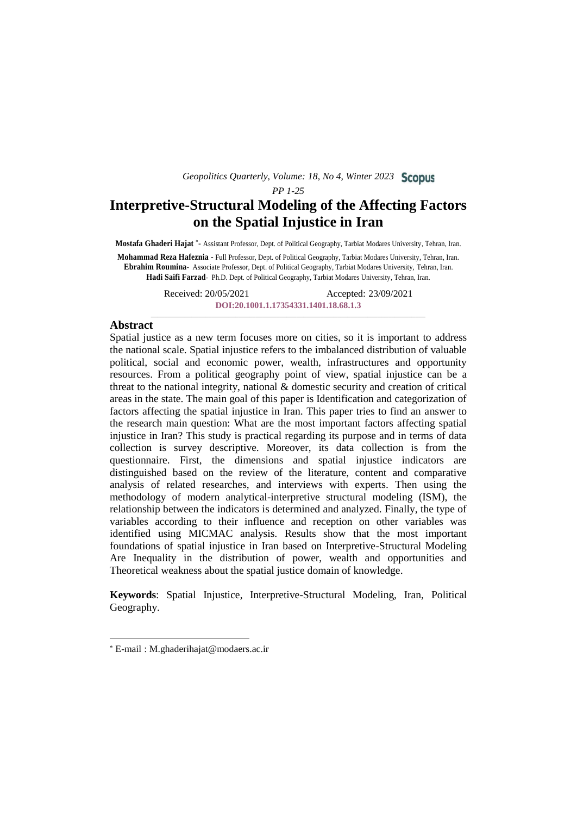### *PP 1-25*

# **Interpretive-Structural Modeling of the Affecting Factors on the Spatial Injustice in Iran**

Mostafa Ghaderi Hajat \*- Assistant Professor, Dept. of Political Geography, Tarbiat Modares University, Tehran, Iran.

**Mohammad Reza Hafeznia -** Full Professor, Dept. of Political Geography, Tarbiat Modares University, Tehran, Iran. **Ebrahim Roumina**- Associate Professor, Dept. of Political Geography, Tarbiat Modares University, Tehran, Iran. **Hadi Saifi Farzad**- Ph.D. Dept. of Political Geography, Tarbiat Modares University, Tehran, Iran.

> Received: 20/05/2021 Accepted: 23/09/2021 **[DOI:20.1001.1.17354331.1401.18.68.1.3](https://dorl.net/dor/20.1001.1.17354331.1401.18.68.1.3)** \_\_\_\_\_\_\_\_\_\_\_\_\_\_\_\_\_\_\_\_\_\_\_\_\_\_\_\_\_\_\_\_\_\_\_\_\_\_\_\_\_\_\_\_\_\_\_\_\_\_\_\_\_\_\_\_\_\_\_\_\_\_\_\_\_\_\_\_\_\_\_\_\_\_\_\_\_\_\_\_\_

## **Abstract**

Spatial justice as a new term focuses more on cities, so it is important to address the national scale. Spatial injustice refers to the imbalanced distribution of valuable political, social and economic power, wealth, infrastructures and opportunity resources. From a political geography point of view, spatial injustice can be a threat to the national integrity, national & domestic security and creation of critical areas in the state. The main goal of this paper is Identification and categorization of factors affecting the spatial injustice in Iran. This paper tries to find an answer to the research main question: What are the most important factors affecting spatial injustice in Iran? This study is practical regarding its purpose and in terms of data collection is survey descriptive. Moreover, its data collection is from the questionnaire. First, the dimensions and spatial injustice indicators are distinguished based on the review of the literature, content and comparative analysis of related researches, and interviews with experts. Then using the methodology of modern analytical-interpretive structural modeling (ISM), the relationship between the indicators is determined and analyzed. Finally, the type of variables according to their influence and reception on other variables was identified using MICMAC analysis. Results show that the most important foundations of spatial injustice in Iran based on Interpretive-Structural Modeling Are Inequality in the distribution of power, wealth and opportunities and Theoretical weakness about the spatial justice domain of knowledge.

**Keywords**: Spatial Injustice, Interpretive-Structural Modeling, Iran, Political Geography.

 $\overline{a}$ 

E-mail : M.ghaderihajat@modaers.ac.ir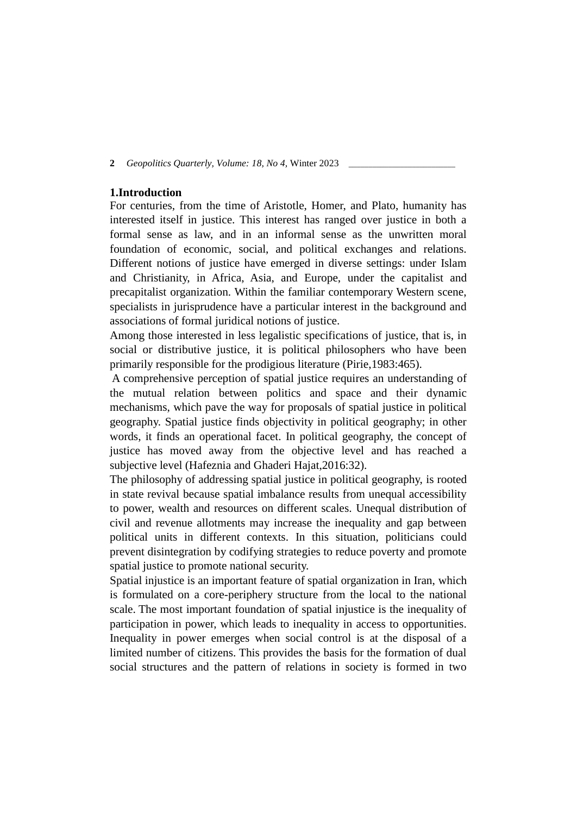## **1.Introduction**

For centuries, from the time of Aristotle, Homer, and Plato, humanity has interested itself in justice. This interest has ranged over justice in both a formal sense as law, and in an informal sense as the unwritten moral foundation of economic, social, and political exchanges and relations. Different notions of justice have emerged in diverse settings: under Islam and Christianity, in Africa, Asia, and Europe, under the capitalist and precapitalist organization. Within the familiar contemporary Western scene, specialists in jurisprudence have a particular interest in the background and associations of formal juridical notions of justice.

Among those interested in less legalistic specifications of justice, that is, in social or distributive justice, it is political philosophers who have been primarily responsible for the prodigious literature (Pirie,1983:465).

A comprehensive perception of spatial justice requires an understanding of the mutual relation between politics and space and their dynamic mechanisms, which pave the way for proposals of spatial justice in political geography. Spatial justice finds objectivity in political geography; in other words, it finds an operational facet. In political geography, the concept of justice has moved away from the objective level and has reached a subjective level (Hafeznia and Ghaderi Hajat,2016:32).

The philosophy of addressing spatial justice in political geography, is rooted in state revival because spatial imbalance results from unequal accessibility to power, wealth and resources on different scales. Unequal distribution of civil and revenue allotments may increase the inequality and gap between political units in different contexts. In this situation, politicians could prevent disintegration by codifying strategies to reduce poverty and promote spatial justice to promote national security.

Spatial injustice is an important feature of spatial organization in Iran, which is formulated on a core-periphery structure from the local to the national scale. The most important foundation of spatial injustice is the inequality of participation in power, which leads to inequality in access to opportunities. Inequality in power emerges when social control is at the disposal of a limited number of citizens. This provides the basis for the formation of dual social structures and the pattern of relations in society is formed in two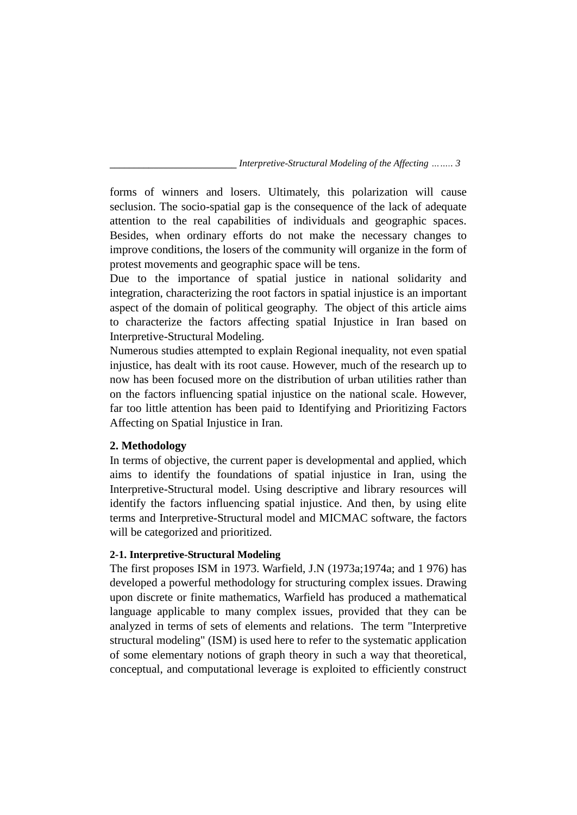forms of winners and losers. Ultimately, this polarization will cause seclusion. The socio-spatial gap is the consequence of the lack of adequate attention to the real capabilities of individuals and geographic spaces. Besides, when ordinary efforts do not make the necessary changes to improve conditions, the losers of the community will organize in the form of protest movements and geographic space will be tens.

Due to the importance of spatial justice in national solidarity and integration, characterizing the root factors in spatial injustice is an important aspect of the domain of political geography. The object of this article aims to characterize the factors affecting spatial Injustice in Iran based on Interpretive-Structural Modeling.

Numerous studies attempted to explain Regional inequality, not even spatial injustice, has dealt with its root cause. However, much of the research up to now has been focused more on the distribution of urban utilities rather than on the factors influencing spatial injustice on the national scale. However, far too little attention has been paid to Identifying and Prioritizing Factors Affecting on Spatial Injustice in Iran.

# **2. Methodology**

In terms of objective, the current paper is developmental and applied, which aims to identify the foundations of spatial injustice in Iran, using the Interpretive-Structural model. Using descriptive and library resources will identify the factors influencing spatial injustice. And then, by using elite terms and Interpretive-Structural model and MICMAC software, the factors will be categorized and prioritized.

# **2-1. Interpretive-Structural Modeling**

The first proposes ISM in 1973. Warfield, J.N (1973a;1974a; and 1 976) has developed a powerful methodology for structuring complex issues. Drawing upon discrete or finite mathematics, Warfield has produced a mathematical language applicable to many complex issues, provided that they can be analyzed in terms of sets of elements and relations. The term "Interpretive structural modeling" (ISM) is used here to refer to the systematic application of some elementary notions of graph theory in such a way that theoretical, conceptual, and computational leverage is exploited to efficiently construct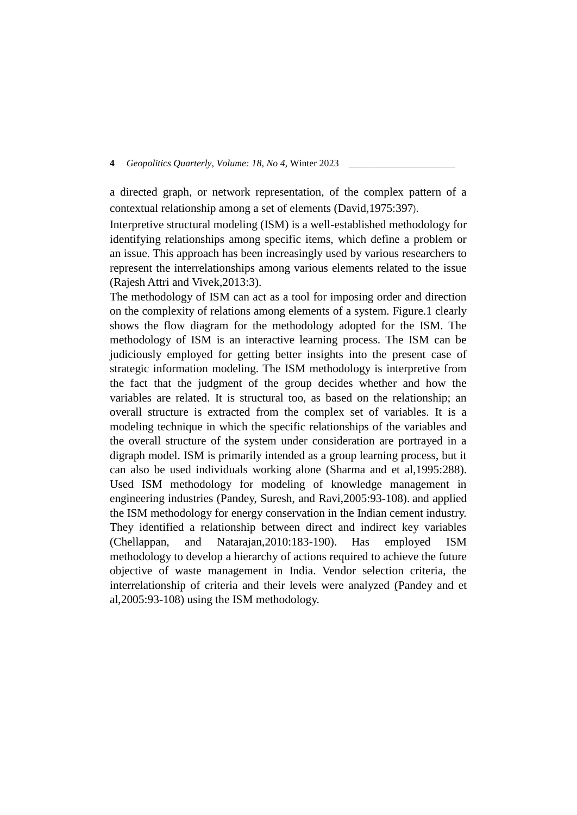a directed graph, or network representation, of the complex pattern of a contextual relationship among a set of elements (David,1975:397).

Interpretive structural modeling (ISM) is a well-established methodology for identifying relationships among specific items, which define a problem or an issue. This approach has been increasingly used by various researchers to represent the interrelationships among various elements related to the issue (Rajesh Attri and Vivek,2013:3).

The methodology of ISM can act as a tool for imposing order and direction on the complexity of relations among elements of a system. Figure.1 clearly shows the flow diagram for the methodology adopted for the ISM. The methodology of ISM is an interactive learning process. The ISM can be judiciously employed for getting better insights into the present case of strategic information modeling. The ISM methodology is interpretive from the fact that the judgment of the group decides whether and how the variables are related. It is structural too, as based on the relationship; an overall structure is extracted from the complex set of variables. It is a modeling technique in which the specific relationships of the variables and the overall structure of the system under consideration are portrayed in a digraph model. ISM is primarily intended as a group learning process, but it can also be used individuals working alone (Sharma and et al,1995:288). Used ISM methodology for modeling of knowledge management in engineering industries (Pandey, Suresh, and Ravi,2005:93-108). and applied the ISM methodology for energy conservation in the Indian cement industry. They identified a relationship between direct and indirect key variables (Chellappan, and Natarajan,2010:183-190). Has employed ISM methodology to develop a hierarchy of actions required to achieve the future objective of waste management in India. Vendor selection criteria, the interrelationship of criteria and their levels were analyzed (Pandey and et al,2005:93-108) using the ISM methodology.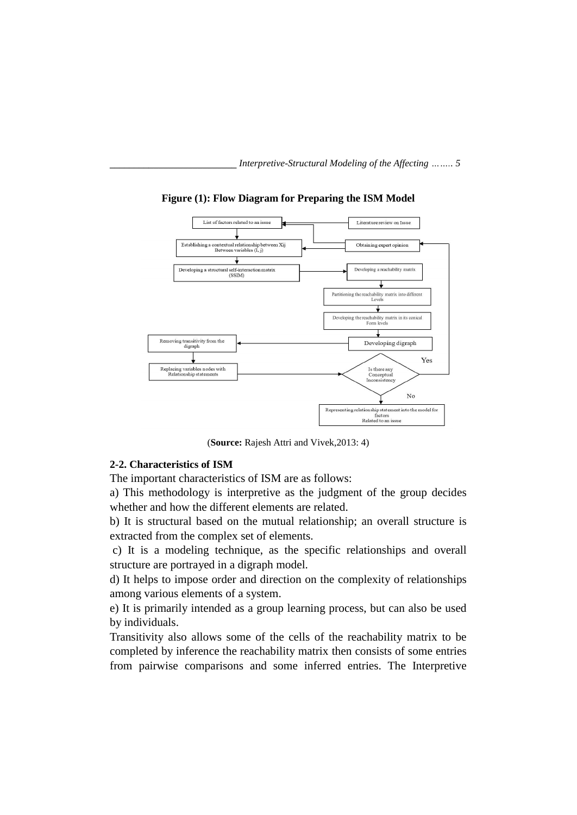

**Figure (1): Flow Diagram for Preparing the ISM Model**

(**Source:** Rajesh Attri and Vivek,2013: 4)

## **2-2. Characteristics of ISM**

The important characteristics of ISM are as follows:

a) This methodology is interpretive as the judgment of the group decides whether and how the different elements are related.

b) It is structural based on the mutual relationship; an overall structure is extracted from the complex set of elements.

c) It is a modeling technique, as the specific relationships and overall structure are portrayed in a digraph model.

d) It helps to impose order and direction on the complexity of relationships among various elements of a system.

e) It is primarily intended as a group learning process, but can also be used by individuals.

Transitivity also allows some of the cells of the reachability matrix to be completed by inference the reachability matrix then consists of some entries from pairwise comparisons and some inferred entries. The Interpretive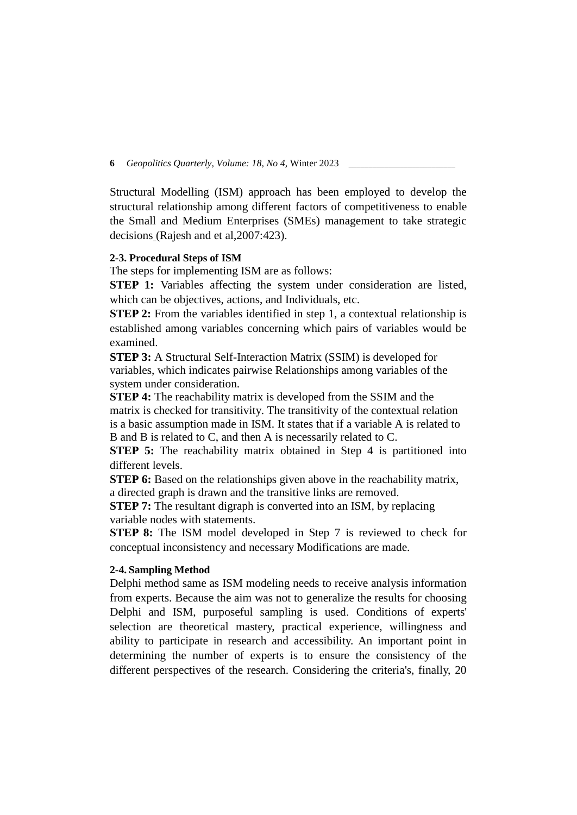Structural Modelling (ISM) approach has been employed to develop the structural relationship among different factors of competitiveness to enable the Small and Medium Enterprises (SMEs) management to take strategic decisions (Rajesh and et al,2007:423).

## **2-3. Procedural Steps of ISM**

The steps for implementing ISM are as follows:

**STEP 1:** Variables affecting the system under consideration are listed, which can be objectives, actions, and Individuals, etc.

**STEP 2:** From the variables identified in step 1, a contextual relationship is established among variables concerning which pairs of variables would be examined.

**STEP 3:** A Structural Self-Interaction Matrix (SSIM) is developed for variables, which indicates pairwise Relationships among variables of the system under consideration.

**STEP 4:** The reachability matrix is developed from the SSIM and the matrix is checked for transitivity. The transitivity of the contextual relation is a basic assumption made in ISM. It states that if a variable A is related to B and B is related to C, and then A is necessarily related to C.

**STEP 5:** The reachability matrix obtained in Step 4 is partitioned into different levels.

**STEP 6:** Based on the relationships given above in the reachability matrix, a directed graph is drawn and the transitive links are removed.

**STEP 7:** The resultant digraph is converted into an ISM, by replacing variable nodes with statements.

**STEP 8:** The ISM model developed in Step 7 is reviewed to check for conceptual inconsistency and necessary Modifications are made.

#### **2-4. Sampling Method**

Delphi method same as ISM modeling needs to receive analysis information from experts. Because the aim was not to generalize the results for choosing Delphi and ISM, purposeful sampling is used. Conditions of experts' selection are theoretical mastery, practical experience, willingness and ability to participate in research and accessibility. An important point in determining the number of experts is to ensure the consistency of the different perspectives of the research. Considering the criteria's, finally, 20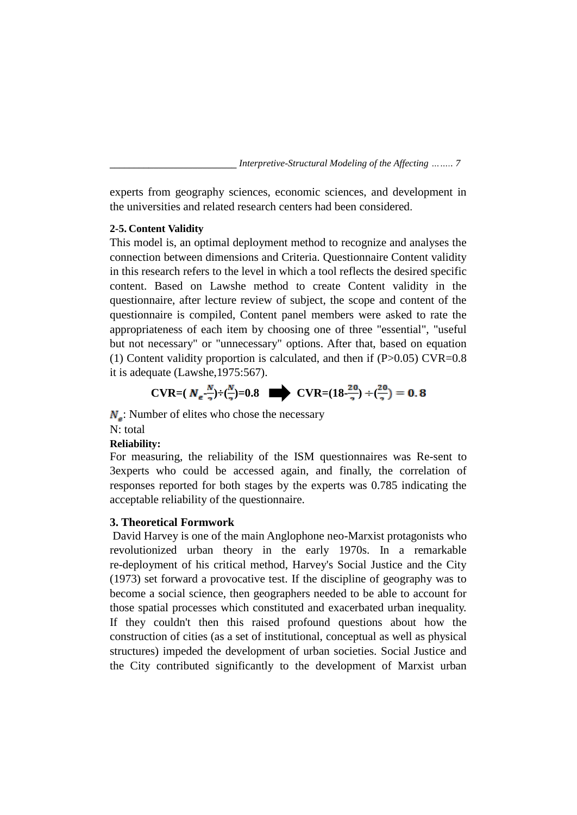experts from geography sciences, economic sciences, and development in the universities and related research centers had been considered.

# **2-5. Content Validity**

This model is, an optimal deployment method to recognize and analyses the connection between dimensions and Criteria. Questionnaire Content validity in this research refers to the level in which a tool reflects the desired specific content. Based on Lawshe method to create Content validity in the questionnaire, after lecture review of subject, the scope and content of the questionnaire is compiled, Content panel members were asked to rate the appropriateness of each item by choosing one of three "essential", "useful but not necessary" or "unnecessary" options. After that, based on equation (1) Content validity proportion is calculated, and then if  $(P>0.05)$  CVR=0.8 it is adequate (Lawshe,1975:567).

$$
CVR = (N_e \frac{N}{2}) \div \left(\frac{N}{2}\right) = 0.8 \quad \implies \quad CVR = (18 \frac{20}{2}) \div \left(\frac{20}{2}\right) = 0.8
$$

 $N_e$ : Number of elites who chose the necessary

N: total

# **Reliability:**

For measuring, the reliability of the ISM questionnaires was Re-sent to 3experts who could be accessed again, and finally, the correlation of responses reported for both stages by the experts was 0.785 indicating the acceptable reliability of the questionnaire.

## **3. Theoretical Formwork**

David Harvey is one of the main Anglophone neo-Marxist protagonists who revolutionized urban theory in the early 1970s. In a remarkable re-deployment of his critical method, Harvey's Social Justice and the City (1973) set forward a provocative test. If the discipline of geography was to become a social science, then geographers needed to be able to account for those spatial processes which constituted and exacerbated urban inequality. If they couldn't then this raised profound questions about how the construction of cities (as a set of institutional, conceptual as well as physical structures) impeded the development of urban societies. Social Justice and the City contributed significantly to the development of Marxist urban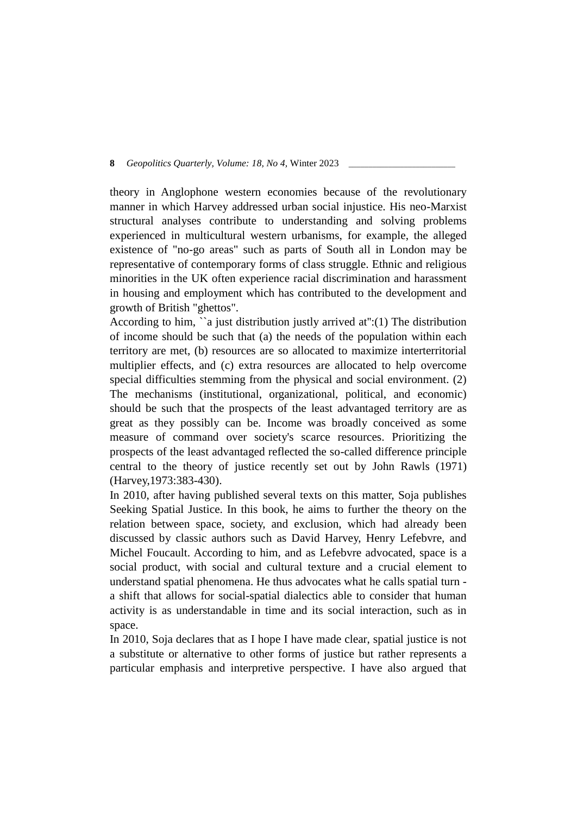theory in Anglophone western economies because of the revolutionary manner in which Harvey addressed urban social injustice. His neo-Marxist structural analyses contribute to understanding and solving problems experienced in multicultural western urbanisms, for example, the alleged existence of "no-go areas" such as parts of South all in London may be representative of contemporary forms of class struggle. Ethnic and religious minorities in the UK often experience racial discrimination and harassment in housing and employment which has contributed to the development and growth of British "ghettos".

According to him, ``a just distribution justly arrived at'':(1) The distribution of income should be such that (a) the needs of the population within each territory are met, (b) resources are so allocated to maximize interterritorial multiplier effects, and (c) extra resources are allocated to help overcome special difficulties stemming from the physical and social environment. (2) The mechanisms (institutional, organizational, political, and economic) should be such that the prospects of the least advantaged territory are as great as they possibly can be. Income was broadly conceived as some measure of command over society's scarce resources. Prioritizing the prospects of the least advantaged reflected the so-called difference principle central to the theory of justice recently set out by John Rawls (1971) (Harvey,1973:383-430).

In 2010, after having published several texts on this matter, Soja publishes Seeking Spatial Justice. In this book, he aims to further the theory on the relation between space, society, and exclusion, which had already been discussed by classic authors such as David Harvey, Henry Lefebvre, and Michel Foucault. According to him, and as Lefebvre advocated, space is a social product, with social and cultural texture and a crucial element to understand spatial phenomena. He thus advocates what he calls spatial turn a shift that allows for social-spatial dialectics able to consider that human activity is as understandable in time and its social interaction, such as in space.

In 2010, Soja declares that as I hope I have made clear, spatial justice is not a substitute or alternative to other forms of justice but rather represents a particular emphasis and interpretive perspective. I have also argued that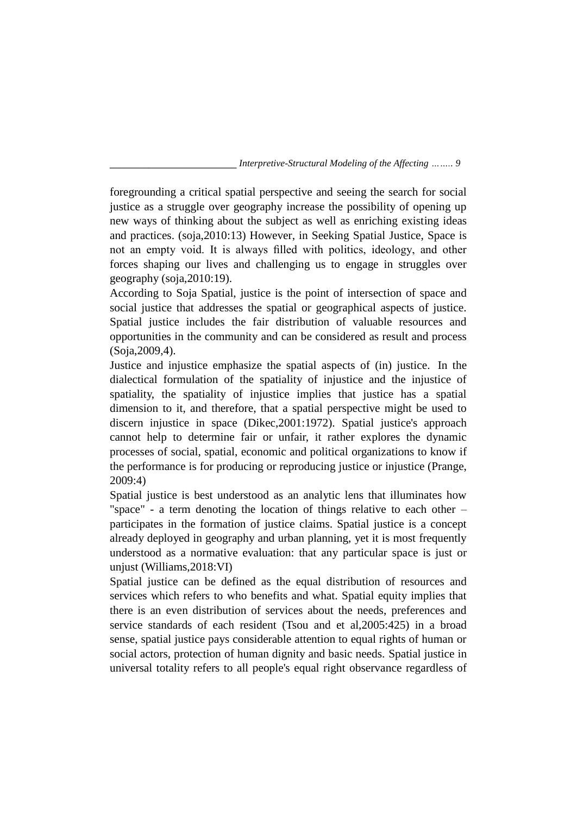foregrounding a critical spatial perspective and seeing the search for social justice as a struggle over geography increase the possibility of opening up new ways of thinking about the subject as well as enriching existing ideas and practices. (soja,2010:13) However, in Seeking Spatial Justice, Space is not an empty void. It is always filled with politics, ideology, and other forces shaping our lives and challenging us to engage in struggles over geography (soja,2010:19).

According to Soja Spatial, justice is the point of intersection of space and social justice that addresses the spatial or geographical aspects of justice. Spatial justice includes the fair distribution of valuable resources and opportunities in the community and can be considered as result and process (Soja,2009,4).

Justice and injustice emphasize the spatial aspects of (in) justice. In the dialectical formulation of the spatiality of injustice and the injustice of spatiality, the spatiality of injustice implies that justice has a spatial dimension to it, and therefore, that a spatial perspective might be used to discern injustice in space (Dikec,2001:1972). Spatial justice's approach cannot help to determine fair or unfair, it rather explores the dynamic processes of social, spatial, economic and political organizations to know if the performance is for producing or reproducing justice or injustice (Prange, 2009:4)

Spatial justice is best understood as an analytic lens that illuminates how "space" - a term denoting the location of things relative to each other – participates in the formation of justice claims. Spatial justice is a concept already deployed in geography and urban planning, yet it is most frequently understood as a normative evaluation: that any particular space is just or unjust (Williams,2018:VI)

Spatial justice can be defined as the equal distribution of resources and services which refers to who benefits and what. Spatial equity implies that there is an even distribution of services about the needs, preferences and service standards of each resident (Tsou and et al,2005:425) in a broad sense, spatial justice pays considerable attention to equal rights of human or social actors, protection of human dignity and basic needs. Spatial justice in universal totality refers to all people's equal right observance regardless of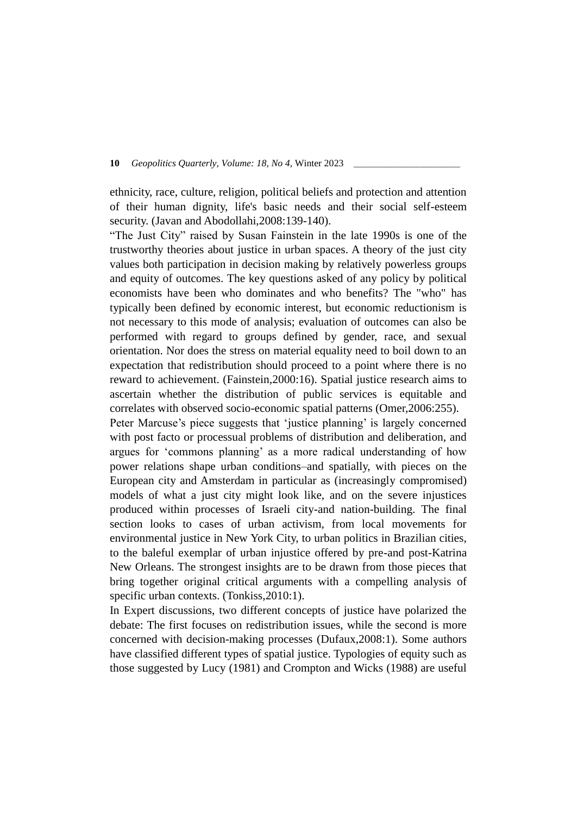ethnicity, race, culture, religion, political beliefs and protection and attention of their human dignity, life's basic needs and their social self-esteem security. (Javan and Abodollahi, 2008: 139-140).

"The Just City" raised by Susan Fainstein in the late 1990s is one of the trustworthy theories about justice in urban spaces. A theory of the just city values both participation in decision making by relatively powerless groups and equity of outcomes. The key questions asked of any policy by political economists have been who dominates and who benefits? The "who" has typically been defined by economic interest, but economic reductionism is not necessary to this mode of analysis; evaluation of outcomes can also be performed with regard to groups defined by gender, race, and sexual orientation. Nor does the stress on material equality need to boil down to an expectation that redistribution should proceed to a point where there is no reward to achievement. (Fainstein,2000:16). Spatial justice research aims to ascertain whether the distribution of public services is equitable and correlates with observed socio-economic spatial patterns (Omer,2006:255).

Peter Marcuse's piece suggests that 'justice planning' is largely concerned with post facto or processual problems of distribution and deliberation, and argues for 'commons planning' as a more radical understanding of how power relations shape urban conditions–and spatially, with pieces on the European city and Amsterdam in particular as (increasingly compromised) models of what a just city might look like, and on the severe injustices produced within processes of Israeli city-and nation-building. The final section looks to cases of urban activism, from local movements for environmental justice in New York City, to urban politics in Brazilian cities, to the baleful exemplar of urban injustice offered by pre-and post-Katrina New Orleans. The strongest insights are to be drawn from those pieces that bring together original critical arguments with a compelling analysis of specific urban contexts. (Tonkiss, 2010:1).

In Expert discussions, two different concepts of justice have polarized the debate: The first focuses on redistribution issues, while the second is more concerned with decision-making processes (Dufaux,2008:1). Some authors have classified different types of spatial justice. Typologies of equity such as those suggested by Lucy (1981) and Crompton and Wicks (1988) are useful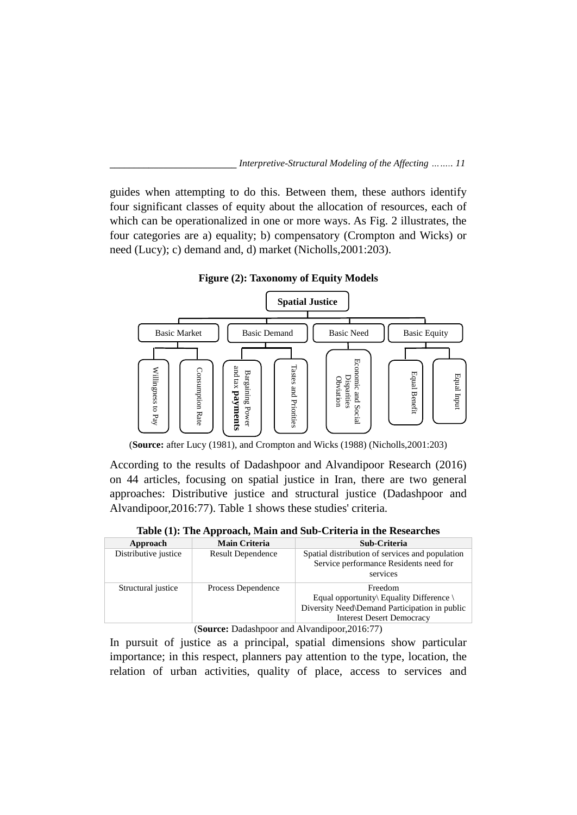guides when attempting to do this. Between them, these authors identify four significant classes of equity about the allocation of resources, each of which can be operationalized in one or more ways. As Fig. 2 illustrates, the four categories are a) equality; b) compensatory (Crompton and Wicks) or need (Lucy); c) demand and, d) market (Nicholls,2001:203).

**Figure (2): Taxonomy of Equity Models**



(**Source:** after Lucy (1981), and Crompton and Wicks (1988) (Nicholls,2001:203)

According to the results of Dadashpoor and Alvandipoor Research (2016) on 44 articles, focusing on spatial justice in Iran, there are two general approaches: Distributive justice and structural justice (Dadashpoor and Alvandipoor,2016:77). Table 1 shows these studies' criteria.

**Table (1): The Approach, Main and Sub-Criteria in the Researches** 

| Approach             | <b>Main Criteria</b>     | Sub-Criteria                                                                                                                          |
|----------------------|--------------------------|---------------------------------------------------------------------------------------------------------------------------------------|
| Distributive justice | <b>Result Dependence</b> | Spatial distribution of services and population<br>Service performance Residents need for<br>services                                 |
| Structural justice   | Process Dependence       | Freedom<br>Equal opportunity Equality Difference<br>Diversity Need\Demand Participation in public<br><b>Interest Desert Democracy</b> |

(**Source:** Dadashpoor and Alvandipoor,2016:77)

In pursuit of justice as a principal, spatial dimensions show particular importance; in this respect, planners pay attention to the type, location, the relation of urban activities, quality of place, access to services and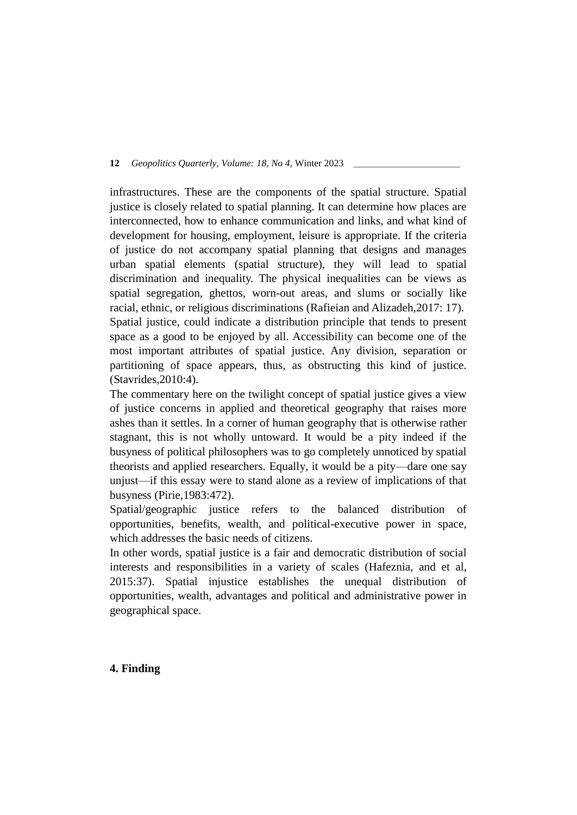infrastructures. These are the components of the spatial structure. Spatial justice is closely related to spatial planning. It can determine how places are interconnected, how to enhance communication and links, and what kind of development for housing, employment, leisure is appropriate. If the criteria of justice do not accompany spatial planning that designs and manages urban spatial elements (spatial structure), they will lead to spatial discrimination and inequality. The physical inequalities can be views as spatial segregation, ghettos, worn-out areas, and slums or socially like racial, ethnic, or religious discriminations (Rafieian and Alizadeh,2017: 17). Spatial justice, could indicate a distribution principle that tends to present space as a good to be enjoyed by all. Accessibility can become one of the most important attributes of spatial justice. Any division, separation or partitioning of space appears, thus, as obstructing this kind of justice. (Stavrides,2010:4).

The commentary here on the twilight concept of spatial justice gives a view of justice concerns in applied and theoretical geography that raises more ashes than it settles. In a corner of human geography that is otherwise rather stagnant, this is not wholly untoward. It would be a pity indeed if the busyness of political philosophers was to go completely unnoticed by spatial theorists and applied researchers. Equally, it would be a pity—dare one say unjust—if this essay were to stand alone as a review of implications of that busyness (Pirie,1983:472).

Spatial/geographic justice refers to the balanced distribution of opportunities, benefits, wealth, and political-executive power in space, which addresses the basic needs of citizens.

In other words, spatial justice is a fair and democratic distribution of social interests and responsibilities in a variety of scales (Hafeznia, and et al, 2015:37). Spatial injustice establishes the unequal distribution of opportunities, wealth, advantages and political and administrative power in geographical space.

# **4. Finding**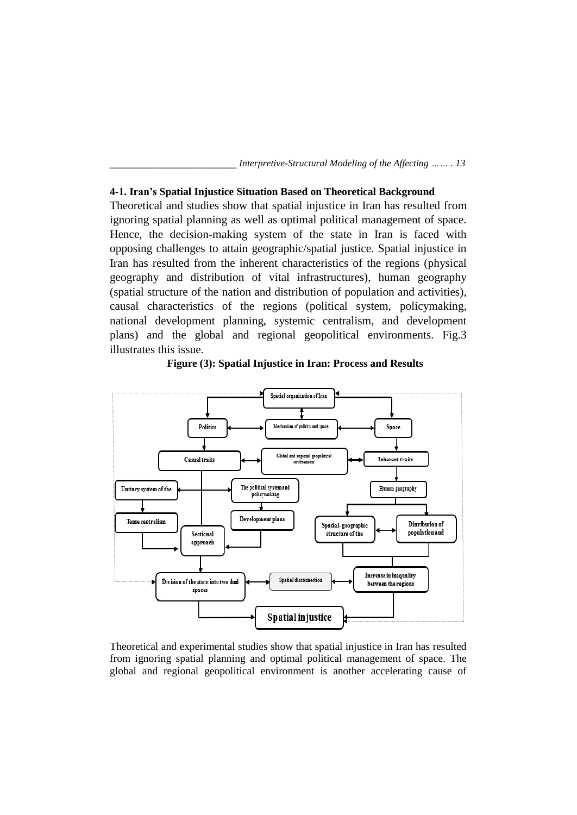## **4-1. Iran's Spatial Injustice Situation Based on Theoretical Background**

Theoretical and studies show that spatial injustice in Iran has resulted from ignoring spatial planning as well as optimal political management of space. Hence, the decision-making system of the state in Iran is faced with opposing challenges to attain geographic/spatial justice. Spatial injustice in Iran has resulted from the inherent characteristics of the regions (physical geography and distribution of vital infrastructures), human geography (spatial structure of the nation and distribution of population and activities), causal characteristics of the regions (political system, policymaking, national development planning, systemic centralism, and development plans) and the global and regional geopolitical environments. Fig.3 illustrates this issue.



**Figure (3): Spatial Injustice in Iran: Process and Results**

Theoretical and experimental studies show that spatial injustice in Iran has resulted from ignoring spatial planning and optimal political management of space. The global and regional geopolitical environment is another accelerating cause of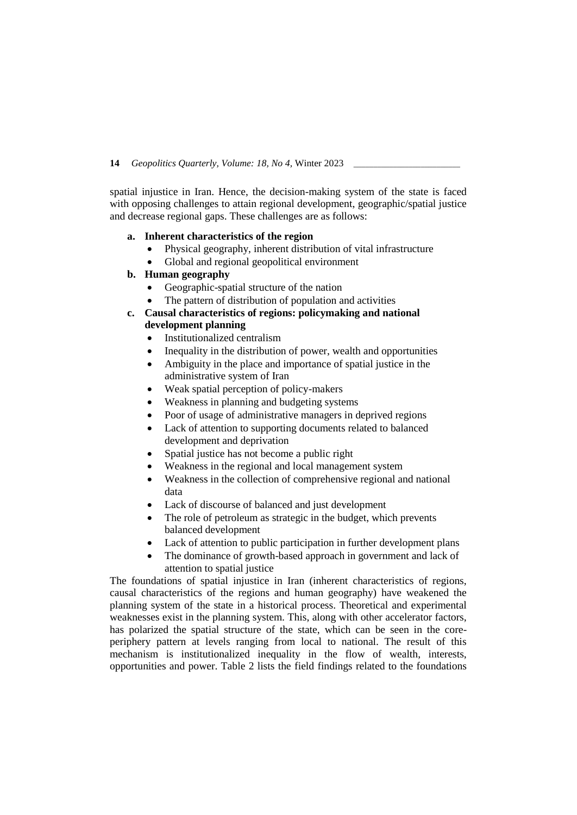spatial injustice in Iran. Hence, the decision-making system of the state is faced with opposing challenges to attain regional development, geographic/spatial justice and decrease regional gaps. These challenges are as follows:

## **a. Inherent characteristics of the region**

- Physical geography, inherent distribution of vital infrastructure
- Global and regional geopolitical environment
- **b. Human geography** 
	- Geographic-spatial structure of the nation
	- The pattern of distribution of population and activities
- **c. Causal characteristics of regions: policymaking and national development planning**
	- Institutionalized centralism
	- Inequality in the distribution of power, wealth and opportunities
	- Ambiguity in the place and importance of spatial justice in the administrative system of Iran
	- Weak spatial perception of policy-makers
	- Weakness in planning and budgeting systems
	- Poor of usage of administrative managers in deprived regions
	- Lack of attention to supporting documents related to balanced development and deprivation
	- Spatial justice has not become a public right
	- Weakness in the regional and local management system
	- Weakness in the collection of comprehensive regional and national data
	- Lack of discourse of balanced and just development
	- The role of petroleum as strategic in the budget, which prevents balanced development
	- Lack of attention to public participation in further development plans
	- The dominance of growth-based approach in government and lack of attention to spatial justice

The foundations of spatial injustice in Iran (inherent characteristics of regions, causal characteristics of the regions and human geography) have weakened the planning system of the state in a historical process. Theoretical and experimental weaknesses exist in the planning system. This, along with other accelerator factors, has polarized the spatial structure of the state, which can be seen in the coreperiphery pattern at levels ranging from local to national. The result of this mechanism is institutionalized inequality in the flow of wealth, interests, opportunities and power. Table 2 lists the field findings related to the foundations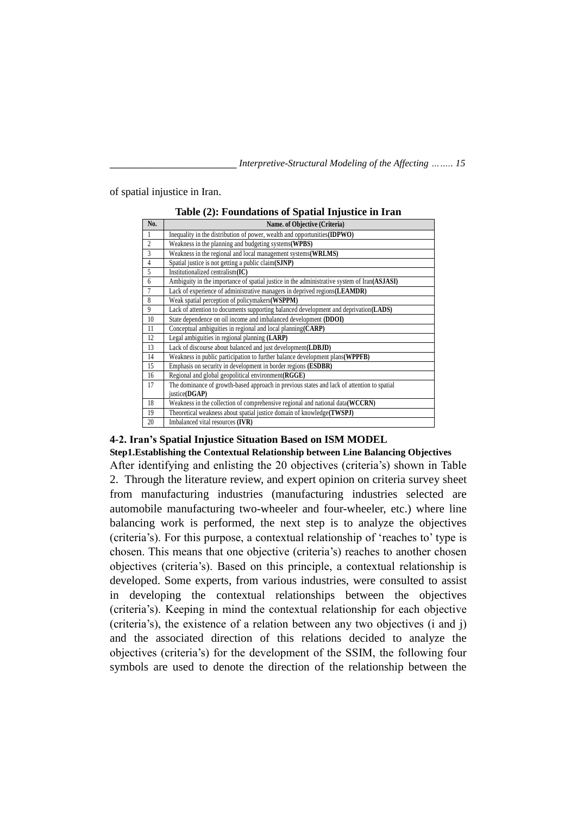of spatial injustice in Iran.

| No.            | Name. of Objective (Criteria)                                                               |
|----------------|---------------------------------------------------------------------------------------------|
| 1              | Inequality in the distribution of power, wealth and opportunities (IDPWO)                   |
| $\overline{c}$ | Weakness in the planning and budgeting systems (WPBS)                                       |
| $\overline{3}$ | Weakness in the regional and local management systems (WRLMS)                               |
| $\overline{4}$ | Spatial justice is not getting a public claim(SJNP)                                         |
| $\overline{5}$ | Institutionalized centralism(IC)                                                            |
| 6              | Ambiguity in the importance of spatial justice in the administrative system of Iran(ASJASI) |
| $\overline{7}$ | Lack of experience of administrative managers in deprived regions(LEAMDR)                   |
| 8              | Weak spatial perception of policymakers (WSPPM)                                             |
| $\overline{9}$ | Lack of attention to documents supporting balanced development and deprivation (LADS)       |
| 10             | State dependence on oil income and imbalanced development (DDOI)                            |
| 11             | Conceptual ambiguities in regional and local planning $(CARP)$                              |
| 12             | Legal ambiguities in regional planning (LARP)                                               |
| 13             | Lack of discourse about balanced and just development (LDBJD)                               |
| 14             | Weakness in public participation to further balance development plans (WPPFB)               |
| 15             | Emphasis on security in development in border regions ( <b>ESDBR</b> )                      |
| 16             | Regional and global geopolitical environment (RGGE)                                         |
| 17             | The dominance of growth-based approach in previous states and lack of attention to spatial  |
|                | justice(DGAP)                                                                               |
| 18             | Weakness in the collection of comprehensive regional and national data(WCCRN)               |
| 19             | Theoretical weakness about spatial justice domain of knowledge(TWSPJ)                       |
| 20             | Imbalanced vital resources (IVR)                                                            |

**Table (2): Foundations of Spatial Injustice in Iran**

## **4-2. Iran's Spatial Injustice Situation Based on ISM MODEL**

**Step1.Establishing the Contextual Relationship between Line Balancing Objectives** After identifying and enlisting the 20 objectives (criteria's) shown in Table 2. Through the literature review, and expert opinion on criteria survey sheet from manufacturing industries (manufacturing industries selected are automobile manufacturing two-wheeler and four-wheeler, etc.) where line balancing work is performed, the next step is to analyze the objectives (criteria's). For this purpose, a contextual relationship of 'reaches to' type is chosen. This means that one objective (criteria's) reaches to another chosen objectives (criteria's). Based on this principle, a contextual relationship is developed. Some experts, from various industries, were consulted to assist in developing the contextual relationships between the objectives (criteria's). Keeping in mind the contextual relationship for each objective (criteria's), the existence of a relation between any two objectives (i and j) and the associated direction of this relations decided to analyze the objectives (criteria's) for the development of the SSIM, the following four symbols are used to denote the direction of the relationship between the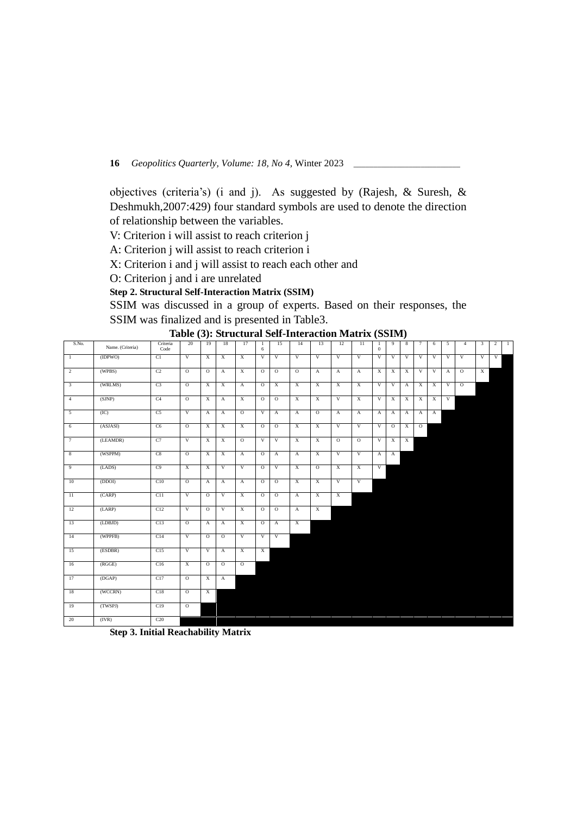objectives (criteria's) (i and j). As suggested by (Rajesh, & Suresh, & Deshmukh,2007:429) four standard symbols are used to denote the direction of relationship between the variables.

V: Criterion i will assist to reach criterion j

A: Criterion j will assist to reach criterion i

X: Criterion i and j will assist to reach each other and

O: Criterion j and i are unrelated

# **Step 2. Structural Self-Interaction Matrix (SSIM)**

SSIM was discussed in a group of experts. Based on their responses, the SSIM was finalized and is presented in Table3.

| S.No.                   | Name. (Criteria) | Criteria<br>Code | 20             | 19             | 18             | 17             | 1<br>6         | 15             | 14             | 13             | 12                      | $\overline{11}$         | -1<br>$\mathbf{0}$ | 9              | 8              | 7              | 6              | 5              | $\overline{4}$ | 3 | $\overline{2}$ | $\overline{1}$ |
|-------------------------|------------------|------------------|----------------|----------------|----------------|----------------|----------------|----------------|----------------|----------------|-------------------------|-------------------------|--------------------|----------------|----------------|----------------|----------------|----------------|----------------|---|----------------|----------------|
| $\mathbf{1}$            | (IDPWO)          | C1               | $\overline{V}$ | X              | $\overline{X}$ | $\overline{X}$ | $\overline{V}$ | $\overline{V}$ | $\overline{V}$ | $\overline{V}$ | $\overline{V}$          | $\overline{V}$          | $\overline{V}$     | $\overline{V}$ | $\overline{V}$ | $\overline{V}$ | V              | $\overline{V}$ | $\overline{V}$ | V | V              |                |
| $\overline{2}$          | (WPBS)           | C <sub>2</sub>   | $\overline{0}$ | $\mathcal O$   | $\overline{A}$ | $\overline{X}$ | $\overline{0}$ | $\overline{0}$ | $\overline{O}$ | $\overline{A}$ | $\mathbf{A}$            | $\mathbf{A}$            | X                  | X              | $\mathbf{x}$   | $\overline{V}$ | V              | A              | $\overline{0}$ | X |                |                |
| $\overline{\mathbf{3}}$ | (WRLMS)          | C <sub>3</sub>   | $\overline{0}$ | X              | X              | $\overline{A}$ | $\overline{0}$ | X              | $\overline{X}$ | X              | X                       | X                       | V                  | V              | A              | $\mathbf{x}$   | X              | V              | $\overline{O}$ |   |                |                |
| $\overline{4}$          | (SJNP)           | C <sub>4</sub>   | $\overline{0}$ | $\overline{X}$ | $\overline{A}$ | $\overline{X}$ | $\overline{0}$ | $\overline{0}$ | $\overline{X}$ | $\overline{X}$ | $\overline{V}$          | $\overline{X}$          | $\overline{V}$     | $\overline{X}$ | $\overline{X}$ | $\overline{X}$ | $\overline{X}$ | V              |                |   |                |                |
| $\overline{5}$          | (IC)             | C <sub>5</sub>   | $\overline{V}$ | $\mathbf{A}$   | $\mathbf{A}$   | $\overline{O}$ | $\overline{V}$ | $\mathbf{A}$   | $\overline{A}$ | $\overline{0}$ | $\overline{A}$          | $\mathbf{A}$            | $\mathbf{A}$       | $\mathbf{A}$   | $\mathbf{A}$   | $\overline{A}$ | A              |                |                |   |                |                |
| 6                       | (ASJASI)         | C6               | $\overline{0}$ | Χ              | X              | X              | $\overline{0}$ | $\overline{0}$ | X              | $\overline{X}$ | $\overline{v}$          | $\overline{\mathbf{v}}$ | V                  | $\overline{O}$ | X              | $\overline{0}$ |                |                |                |   |                |                |
| $\tau$                  | (LEAMDR)         | C7               | V              | Χ              | X              | $\overline{O}$ | V              | V              | X              | $\overline{X}$ | $\overline{0}$          | $\overline{0}$          | V                  | $\overline{X}$ | $\overline{X}$ |                |                |                |                |   |                |                |
| $8\phantom{1}$          | (WSPPM)          | C8               | $\overline{0}$ | $\overline{X}$ | $\mathbf X$    | $\mathbf{A}$   | $\overline{0}$ | $\mathbf{A}$   | $\mathbf{A}$   | $\overline{X}$ | $\overline{V}$          | V                       | $\mathbf{A}$       | A              |                |                |                |                |                |   |                |                |
| 9                       | (LADS)           | C9               | $\overline{X}$ | $\overline{X}$ | $\overline{V}$ | $\overline{V}$ | $\overline{0}$ | $\overline{V}$ | $\overline{X}$ | $\overline{0}$ | $\overline{X}$          | $\overline{X}$          | $\overline{V}$     |                |                |                |                |                |                |   |                |                |
| 10                      | (DDOI)           | C10              | $\overline{0}$ | A              | $\overline{A}$ | $\overline{A}$ | $\overline{0}$ | $\overline{0}$ | $\overline{X}$ | $\overline{X}$ | $\overline{\mathbf{v}}$ | $\overline{V}$          |                    |                |                |                |                |                |                |   |                |                |
| $\overline{11}$         | (CARP)           | C11              | V              | $\overline{0}$ | V              | $\mathbf{x}$   | $\overline{0}$ | $\overline{0}$ | $\mathbf{A}$   | $\overline{X}$ | X                       |                         |                    |                |                |                |                |                |                |   |                |                |
| 12                      | (LARP)           | C12              | $\overline{V}$ | $\mathcal O$   | $\overline{V}$ | $\mathbf{x}$   | $\overline{0}$ | $\circ$        | $\mathbf{A}$   | $\overline{X}$ |                         |                         |                    |                |                |                |                |                |                |   |                |                |
| 13                      | (LDBJD)          | C13              | $\overline{0}$ | A              | $\overline{A}$ | $\overline{X}$ | $\overline{0}$ | $\overline{A}$ | $\overline{X}$ |                |                         |                         |                    |                |                |                |                |                |                |   |                |                |
| 14                      | (WPPFB)          | C14              | V              | $\overline{0}$ | $\overline{0}$ | V              | V              | V              |                |                |                         |                         |                    |                |                |                |                |                |                |   |                |                |
| 15                      | (ESDBR)          | C15              | $\overline{V}$ | V              | $\overline{A}$ | $\overline{X}$ | $\mathbf{x}$   |                |                |                |                         |                         |                    |                |                |                |                |                |                |   |                |                |
| 16                      | (RGGE)           | C16              | $\overline{X}$ | $\overline{0}$ | $\overline{0}$ | $\overline{O}$ |                |                |                |                |                         |                         |                    |                |                |                |                |                |                |   |                |                |
| 17                      | (DGAP)           | C17              | $\overline{0}$ | X              | $\overline{A}$ |                |                |                |                |                |                         |                         |                    |                |                |                |                |                |                |   |                |                |
| 18                      | (WCCRN)          | C18              | $\overline{0}$ | $\overline{X}$ |                |                |                |                |                |                |                         |                         |                    |                |                |                |                |                |                |   |                |                |
| 19                      | (TWSPJ)          | C19              | $\overline{0}$ |                |                |                |                |                |                |                |                         |                         |                    |                |                |                |                |                |                |   |                |                |
| 20                      | (IVR)            | C20              |                |                |                |                |                |                |                |                |                         |                         |                    |                |                |                |                |                |                |   |                |                |

# **Table (3): Structural Self-Interaction Matrix (SSIM)**

**Step 3. Initial Reachability Matrix**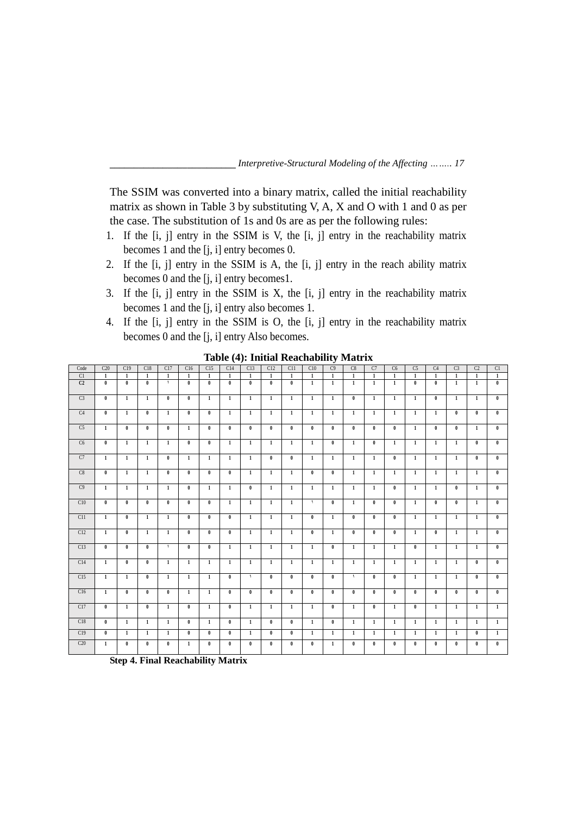The SSIM was converted into a binary matrix, called the initial reachability matrix as shown in Table 3 by substituting V, A, X and O with 1 and 0 as per the case. The substitution of 1s and 0s are as per the following rules:

- 1. If the [i, j] entry in the SSIM is V, the [i, j] entry in the reachability matrix becomes 1 and the [j, i] entry becomes 0.
- 2. If the [i, j] entry in the SSIM is A, the [i, j] entry in the reach ability matrix becomes 0 and the [j, i] entry becomes1.
- 3. If the [i, j] entry in the SSIM is X, the [i, j] entry in the reachability matrix becomes 1 and the [j, i] entry also becomes 1.
- 4. If the [i, j] entry in the SSIM is O, the [i, j] entry in the reachability matrix becomes 0 and the [j, i] entry Also becomes.

| Code           | C20                     | C19            | C18            | C17          | C16                     | C15                     | -- 1-1<br>C14  | C13            | C12                     | C11                     | C10            | C9             | C8                       | C7             | C6           | C <sub>5</sub> | C <sub>4</sub> | C <sub>3</sub> | C <sub>2</sub> | C1             |
|----------------|-------------------------|----------------|----------------|--------------|-------------------------|-------------------------|----------------|----------------|-------------------------|-------------------------|----------------|----------------|--------------------------|----------------|--------------|----------------|----------------|----------------|----------------|----------------|
| C1             | $\mathbf{1}$            | $\mathbf{1}$   | $\mathbf{1}$   | $\mathbf{1}$ | $\mathbf{1}$            | $\mathbf{1}$            | $\mathbf{1}$   | $\mathbf{1}$   | $\mathbf{1}$            | $\mathbf{1}$            | $\overline{1}$ | $\overline{1}$ | <sup>1</sup>             | -1             | $\mathbf{1}$ | $\mathbf{1}$   | $\overline{1}$ | $\overline{1}$ | $\mathbf{1}$   | $\overline{1}$ |
| C <sub>2</sub> | $\mathbf{0}$            | $\bf{0}$       | $\mathbf{0}$   | $\lambda$    | $\mathbf{0}$            | $\mathbf{0}$            | $\mathbf{0}$   | $\mathbf{0}$   | $\mathbf{0}$            | $\bf{0}$                | $\mathbf{1}$   | $\overline{1}$ | $\mathbf{1}$             | $\mathbf{1}$   | $\mathbf{1}$ | $\mathbf{0}$   | $\mathbf{0}$   | $\mathbf{1}$   | $\mathbf{1}$   | $\mathbf{0}$   |
| C <sub>3</sub> | $\bf{0}$                | $\mathbf{1}$   | $\mathbf{1}$   | $\mathbf{0}$ | $\bf{0}$                | $\mathbf{1}$            | $\mathbf{1}$   | $\mathbf{1}$   | <sup>1</sup>            | $\mathbf{1}$            | $\mathbf{1}$   | $\mathbf{1}$   | $\mathbf{0}$             | $\mathbf{1}$   | $\mathbf{1}$ | $\mathbf{1}$   | $\bf{0}$       | $\mathbf{1}$   | $\mathbf{1}$   | $\bf{0}$       |
| C4             | $\mathbf{0}$            | $\mathbf{1}$   | $\mathbf{0}$   | $\mathbf{1}$ | $\mathbf{0}$            | $\mathbf{0}$            | $\mathbf{1}$   | $\mathbf{1}$   | $\mathbf{1}$            | $\mathbf{1}$            | $\mathbf{1}$   | $\mathbf{1}$   | $\mathbf{1}$             | $\mathbf{1}$   | $\mathbf{1}$ | $\mathbf{1}$   | $\mathbf{1}$   | $\overline{0}$ | $\mathbf{0}$   | $\mathbf{0}$   |
| C <sub>5</sub> | $\overline{1}$          | $\overline{0}$ | $\overline{0}$ | $\mathbf{0}$ | $\overline{1}$          | $\overline{0}$          | $\mathbf{0}$   | $\mathbf{0}$   | $\overline{0}$          | $\overline{0}$          | $\mathbf{0}$   | $\mathbf{0}$   | $\mathbf{0}$             | $\overline{0}$ | $\mathbf{0}$ | $\overline{1}$ | $\mathbf{0}$   | $\overline{0}$ | $\mathbf{1}$   | $\overline{0}$ |
| C6             | $\overline{0}$          | $\overline{1}$ | $\mathbf{1}$   | $\mathbf{1}$ | $\overline{0}$          | $\overline{0}$          | $\overline{1}$ | $\overline{1}$ | $\overline{1}$          | $\overline{1}$          | $\overline{1}$ | $\overline{0}$ | $\overline{1}$           | $\overline{0}$ | $\mathbf{1}$ | $\mathbf{1}$   | $\overline{1}$ | $\overline{1}$ | $\mathbf{0}$   | $\overline{0}$ |
| C7             | $\mathbf{1}$            | $\mathbf{1}$   | $\mathbf{1}$   | $\mathbf{0}$ | $\mathbf{1}$            | $\mathbf{1}$            | $\mathbf{1}$   | $\mathbf{1}$   | $\mathbf{0}$            | $\bf{0}$                | $\mathbf{1}$   | $\mathbf{1}$   | $\mathbf{1}$             | $\mathbf{1}$   | $\mathbf{0}$ | $\mathbf{1}$   | $\mathbf{1}$   | $\mathbf{1}$   | $\bf{0}$       | $\bf{0}$       |
| C8             | $\overline{\mathbf{0}}$ | $\overline{1}$ | $\mathbf{1}$   | $\mathbf{0}$ | $\overline{\mathbf{0}}$ | $\overline{\mathbf{0}}$ | $\mathbf{0}$   | $\mathbf{1}$   | $\mathbf{1}$            | $\overline{1}$          | $\mathbf{0}$   | $\bf{0}$       | $\overline{1}$           | $\overline{1}$ | $\mathbf{1}$ | $\mathbf{1}$   | $\mathbf{1}$   | $\overline{1}$ | $\mathbf{1}$   | $\mathbf{0}$   |
| C9             | $\mathbf{1}$            | $\mathbf{1}$   | $\mathbf{1}$   | $\mathbf{1}$ | $\mathbf{0}$            | $\mathbf{1}$            | $\mathbf{1}$   | $\mathbf{0}$   | $\mathbf{1}$            | $\mathbf{1}$            | $\mathbf{1}$   | $\mathbf{1}$   | <sup>1</sup>             | $\mathbf{1}$   | $\mathbf{0}$ | $\mathbf{1}$   | $\mathbf{1}$   | $\bf{0}$       | $\mathbf{1}$   | $\mathbf{0}$   |
| C10            | $\mathbf{0}$            | $\mathbf{0}$   | $\mathbf{0}$   | $\mathbf{0}$ | $\mathbf{0}$            | $\mathbf{0}$            | $\mathbf{1}$   | $\overline{1}$ | $\mathbf{1}$            | $\mathbf{1}$            | $\lambda$      | $\mathbf{0}$   | $\mathbf{1}$             | $\mathbf{0}$   | $\mathbf{0}$ | $\mathbf{1}$   | $\mathbf{0}$   | $\mathbf{0}$   | $\mathbf{1}$   | $\mathbf{0}$   |
| C11            | $\mathbf{1}$            | $\mathbf{0}$   | $\mathbf{1}$   | $\mathbf{1}$ | $\theta$                | $\mathbf{0}$            | $\mathbf{0}$   | $\mathbf{1}$   | $\mathbf{1}$            | $\mathbf{1}$            | $\mathbf{0}$   | $\mathbf{1}$   | $\bf{0}$                 | $\bf{0}$       | $\mathbf{0}$ | $\mathbf{1}$   | $\mathbf{1}$   | $\mathbf{1}$   | $\mathbf{1}$   | $\mathbf{0}$   |
| C12            | $\mathbf{1}$            | $\mathbf{0}$   | $\mathbf{1}$   | $\mathbf{1}$ | $\mathbf{0}$            | $\mathbf{0}$            | $\bf{0}$       | $\mathbf{1}$   | $\mathbf{1}$            | $\mathbf{1}$            | $\bf{0}$       | $\mathbf{1}$   | $\bf{0}$                 | $\mathbf{0}$   | $\mathbf{0}$ | $\mathbf{1}$   | $\bf{0}$       | $\mathbf{1}$   | $\mathbf{1}$   | $\mathbf{0}$   |
| C13            | $\bf{0}$                | $\mathbf{0}$   | $\mathbf{0}$   | $\lambda$    | $\theta$                | $\mathbf{0}$            | $\mathbf{1}$   | $\overline{1}$ | $\mathbf{1}$            | $\mathbf{1}$            | $\mathbf{1}$   | $\bf{0}$       | $\mathbf{1}$             | $\mathbf{1}$   | $\mathbf{1}$ | $\mathbf{0}$   | $\mathbf{1}$   | $\mathbf{1}$   | $\mathbf{1}$   | $\mathbf{0}$   |
| C14            | $\overline{1}$          | $\overline{0}$ | $\overline{0}$ | $\mathbf{1}$ | $\overline{1}$          | $\overline{1}$          | $\overline{1}$ | $\overline{1}$ | $\overline{1}$          | $\overline{1}$          | $\overline{1}$ | $\overline{1}$ | $\overline{1}$           | $\overline{1}$ | $\mathbf{1}$ | $\mathbf{1}$   | $\overline{1}$ | $\overline{1}$ | $\mathbf{0}$   | $\overline{0}$ |
| C15            | $\overline{1}$          | $\overline{1}$ | $\mathbf{0}$   | $\mathbf{1}$ | $\overline{1}$          | $\overline{1}$          | $\overline{0}$ | $\lambda$      | $\overline{0}$          | $\overline{\mathbf{0}}$ | $\mathbf{0}$   | $\mathbf{0}$   | $\overline{\phantom{0}}$ | $\overline{0}$ | $\mathbf{0}$ | $\mathbf{1}$   | $\overline{1}$ | $\overline{1}$ | $\mathbf{0}$   | $\mathbf{0}$   |
| C16            | $\mathbf{1}$            | $\mathbf{0}$   | $\mathbf{0}$   | $\mathbf{0}$ | $\mathbf{1}$            | $\mathbf{1}$            | $\mathbf{0}$   | $\bf{0}$       | $\mathbf{0}$            | $\bf{0}$                | $\bf{0}$       | $\mathbf{0}$   | $\mathbf{0}$             | $\bf{0}$       | $\mathbf{0}$ | $\mathbf{0}$   | $\mathbf{0}$   | $\mathbf{0}$   | $\mathbf{0}$   | $\mathbf{0}$   |
| C17            | $\overline{\mathbf{0}}$ | $\mathbf{1}$   | $\mathbf{0}$   | $\mathbf{1}$ | $\overline{\mathbf{0}}$ | $\overline{1}$          | $\mathbf{0}$   | $\mathbf{1}$   | $\mathbf{1}$            | $\mathbf{1}$            | $\mathbf{1}$   | $\bf{0}$       | $\overline{1}$           | $\bf{0}$       | $\mathbf{1}$ | $\bf{0}$       | $\mathbf{1}$   | $\mathbf{1}$   | $\mathbf{1}$   | $\mathbf{1}$   |
| C18            | $\overline{\mathbf{0}}$ | $\overline{1}$ | $\mathbf{1}$   | $\mathbf{1}$ | $\overline{\mathbf{0}}$ | $\overline{1}$          | $\mathbf{0}$   | $\mathbf{1}$   | $\overline{\mathbf{0}}$ | $\overline{\mathbf{0}}$ | $\overline{1}$ | $\bf{0}$       | $\overline{1}$           | $\overline{1}$ | $\mathbf{1}$ | $\mathbf{1}$   | <sup>1</sup>   | $\overline{1}$ | $\mathbf{1}$   | $\overline{1}$ |
| C19            | $\bf{0}$                | $\overline{1}$ | $\mathbf{1}$   | $\mathbf{1}$ | $\overline{0}$          | $\mathbf{0}$            | $\mathbf{0}$   | $\overline{1}$ | $\mathbf{0}$            | $\mathbf{0}$            | $\overline{1}$ | $\overline{1}$ | $\overline{1}$           | $\overline{1}$ | $\mathbf{1}$ | $\mathbf{1}$   | $\overline{1}$ | $\overline{1}$ | $\mathbf{0}$   | $\overline{1}$ |
| C20            | $\mathbf{1}$            | $\bf{0}$       | $\bf{0}$       | $\bf{0}$     | $\mathbf{1}$            | $\mathbf{0}$            | $\mathbf{0}$   | $\bf{0}$       | $\bf{0}$                | $\bf{0}$                | $\mathbf{0}$   | $\mathbf{1}$   | $\bf{0}$                 | $\bf{0}$       | $\bf{0}$     | $\mathbf{0}$   | $\bf{0}$       | $\bf{0}$       | $\bf{0}$       | $\bf{0}$       |

**Table (4): Initial Reachability Matrix**

**Step 4. Final Reachability Matrix**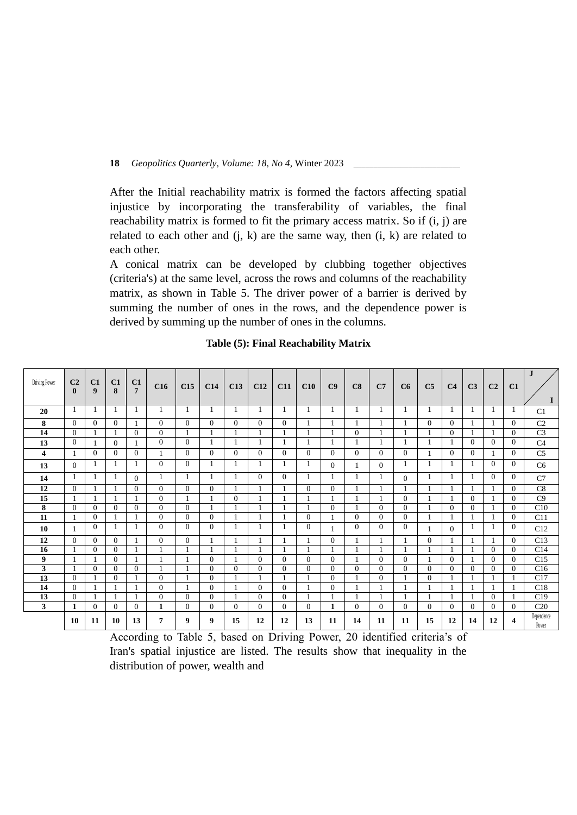After the Initial reachability matrix is formed the factors affecting spatial injustice by incorporating the transferability of variables, the final reachability matrix is formed to fit the primary access matrix. So if (i, j) are related to each other and  $(i, k)$  are the same way, then  $(i, k)$  are related to each other.

A conical matrix can be developed by clubbing together objectives (criteria's) at the same level, across the rows and columns of the reachability matrix, as shown in Table 5. The driver power of a barrier is derived by summing the number of ones in the rows, and the dependence power is derived by summing up the number of ones in the columns.

| Driving Power | C <sub>2</sub><br>$\bf{0}$ | C1<br>9        | C1<br>$\bf{8}$ | C1<br>$\overline{7}$ | C16            | C15            | C14            | C13      | C12            | C11            | C10      | C9             | C8             | C7             | C6             | C <sub>5</sub> | C <sub>4</sub> | C <sub>3</sub> | C <sub>2</sub> | C1           | J                   |
|---------------|----------------------------|----------------|----------------|----------------------|----------------|----------------|----------------|----------|----------------|----------------|----------|----------------|----------------|----------------|----------------|----------------|----------------|----------------|----------------|--------------|---------------------|
| 20            | -1                         | $\mathbf{1}$   | $\mathbf{1}$   | 1                    | 1              | 1              | 1              | -1       | 1              | -1             | 1        | 1              |                | 1              | 1              | 1              |                | -1             |                | 1            | C <sub>1</sub>      |
| 8             | $\Omega$                   | $\overline{0}$ | $\Omega$       |                      | $\theta$       | $\Omega$       | $\Omega$       | $\Omega$ | $\Omega$       | $\Omega$       |          |                |                |                |                | $\theta$       | $\Omega$       |                |                | $\Omega$     | C <sub>2</sub>      |
| 14            | $\overline{0}$             |                |                | $\overline{0}$       | $\overline{0}$ |                |                |          |                |                |          |                | $\mathbf{0}$   |                |                |                | $\overline{0}$ |                |                | $\theta$     | C <sub>3</sub>      |
| 13            | $\Omega$                   | $\mathbf{1}$   | $\overline{0}$ |                      | $\overline{0}$ | $\Omega$       |                |          |                |                |          |                |                |                |                |                |                | $\Omega$       | $\Omega$       | $\Omega$     | C <sub>4</sub>      |
| 4             | $\mathbf{1}$               | $\overline{0}$ | $\Omega$       | $\overline{0}$       | 1              | $\overline{0}$ | $\overline{0}$ | $\Omega$ | $\overline{0}$ | $\mathbf{0}$   | $\Omega$ | $\Omega$       | $\overline{0}$ | $\Omega$       | $\Omega$       |                | $\Omega$       | $\overline{0}$ |                | $\mathbf{0}$ | C <sub>5</sub>      |
| 13            | $\Omega$                   | 1              |                |                      | $\theta$       | $\Omega$       | 1              |          |                |                |          | $\overline{0}$ |                | $\Omega$       |                |                |                |                | $\Omega$       | $\mathbf{0}$ | C <sub>6</sub>      |
| 14            | 1                          | 1              |                | $\Omega$             | 1              | 1              | 1              |          | $\overline{0}$ | $\mathbf{0}$   |          |                |                |                | $\Omega$       |                |                |                | $\Omega$       | $\mathbf{0}$ | C7                  |
| 12            | $\overline{0}$             |                |                | $\overline{0}$       | $\overline{0}$ | $\overline{0}$ | $\overline{0}$ |          |                |                | $\Omega$ | $\mathbf{0}$   |                |                |                |                |                |                |                | $\mathbf{0}$ | C8                  |
| 15            | -1                         |                |                |                      | $\overline{0}$ |                |                | $\Omega$ |                |                |          |                |                |                | $\Omega$       |                |                | $\Omega$       |                | $\Omega$     | C9                  |
| 8             | $\overline{0}$             | $\mathbf{0}$   | $\overline{0}$ | $\overline{0}$       | $\mathbf{0}$   | $\overline{0}$ |                |          |                |                |          | $\mathbf{0}$   |                | $\Omega$       | $\Omega$       |                | $\overline{0}$ | $\overline{0}$ |                | $\mathbf{0}$ | C10                 |
| 11            | 1                          | $\overline{0}$ |                |                      | $\overline{0}$ | $\overline{0}$ | $\overline{0}$ |          |                |                | $\Omega$ |                | $\Omega$       | $\Omega$       | $\Omega$       |                |                |                |                | $\Omega$     | C11                 |
| 10            | 1                          | $\overline{0}$ |                |                      | $\Omega$       | $\Omega$       | $\overline{0}$ |          |                |                | $\theta$ |                | $\overline{0}$ | $\overline{0}$ | $\Omega$       |                | $\Omega$       |                |                | $\theta$     | C12                 |
| 12            | $\Omega$                   | $\overline{0}$ | $\Omega$       |                      | $\overline{0}$ | $\Omega$       |                |          |                |                |          | $\mathbf{0}$   |                |                |                | $\overline{0}$ |                |                |                | $\Omega$     | C13                 |
| 16            | 1                          | $\mathbf{0}$   | $\overline{0}$ |                      | 1              |                |                |          |                |                |          |                |                |                |                |                |                |                | $\Omega$       | $\mathbf{0}$ | C14                 |
| 9             | $\mathbf{1}$               | $\mathbf{1}$   | $\Omega$       |                      | $\mathbf{1}$   |                | $\Omega$       |          | $\overline{0}$ | $\Omega$       | $\Omega$ | $\Omega$       |                | $\Omega$       | $\Omega$       |                | $\Omega$       |                | $\Omega$       | $\Omega$     | C15                 |
| 3             |                            | $\overline{0}$ | $\Omega$       | $\overline{0}$       |                |                | $\mathbf{0}$   | $\Omega$ | $\overline{0}$ | $\mathbf{0}$   | $\Omega$ | $\Omega$       | $\theta$       | $\overline{0}$ | $\Omega$       | $\overline{0}$ | $\theta$       | $\overline{0}$ | $\Omega$       | $\mathbf{0}$ | C16                 |
| 13            | $\overline{0}$             |                | $\overline{0}$ |                      | $\mathbf{0}$   |                | $\overline{0}$ |          |                |                |          | $\mathbf{0}$   |                | $\Omega$       |                | $\Omega$       |                |                |                |              | C17                 |
| 14            | $\overline{0}$             |                |                |                      | $\mathbf{0}$   |                | $\overline{0}$ |          | $\overline{0}$ | $\mathbf{0}$   |          | $\mathbf{0}$   |                |                |                |                |                |                |                |              | C18                 |
| 13            | $\theta$                   | $\mathbf{1}$   |                |                      | $\Omega$       | $\Omega$       | $\Omega$       |          | $\Omega$       | $\Omega$       |          |                |                |                |                |                |                |                | $\Omega$       | -1           | C19                 |
| 3             | 1                          | $\overline{0}$ | $\Omega$       | $\overline{0}$       | 1              | $\overline{0}$ | $\overline{0}$ | $\Omega$ | $\overline{0}$ | $\overline{0}$ | $\Omega$ | 1              | $\overline{0}$ | $\Omega$       | $\overline{0}$ | $\Omega$       | $\Omega$       | $\Omega$       | $\Omega$       | $\Omega$     | C <sub>20</sub>     |
|               | 10                         | 11             | 10             | 13                   | 7              | 9              | 9              | 15       | 12             | 12             | 13       | 11             | 14             | 11             | 11             | 15             | 12             | 14             | 12             | 4            | Dependence<br>Power |

## **Table (5): Final Reachability Matrix**

According to Table 5, based on Driving Power, 20 identified criteria's of Iran's spatial injustice are listed. The results show that inequality in the distribution of power, wealth and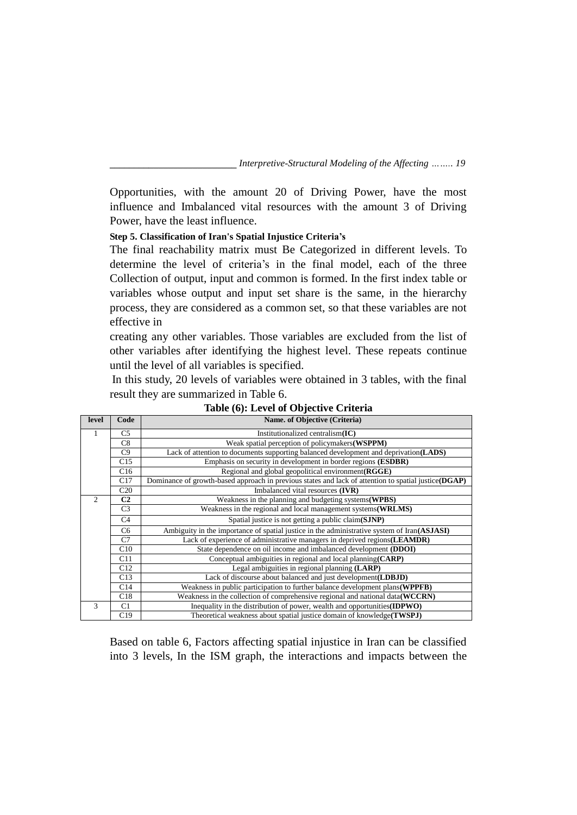Opportunities, with the amount 20 of Driving Power, have the most influence and Imbalanced vital resources with the amount 3 of Driving Power, have the least influence.

# **Step 5. Classification of Iran's Spatial Injustice Criteria's**

The final reachability matrix must Be Categorized in different levels. To determine the level of criteria's in the final model, each of the three Collection of output, input and common is formed. In the first index table or variables whose output and input set share is the same, in the hierarchy process, they are considered as a common set, so that these variables are not effective in

creating any other variables. Those variables are excluded from the list of other variables after identifying the highest level. These repeats continue until the level of all variables is specified.

In this study, 20 levels of variables were obtained in 3 tables, with the final result they are summarized in Table 6.

| level         | Code            | Name. of Objective (Criteria)                                                                        |
|---------------|-----------------|------------------------------------------------------------------------------------------------------|
|               | C5              | Institutionalized centralism $(IC)$                                                                  |
|               | C8              | Weak spatial perception of policymakers (WSPPM)                                                      |
|               | C9              | Lack of attention to documents supporting balanced development and deprivation(LADS)                 |
|               | C15             | Emphasis on security in development in border regions ( <b>ESDBR</b> )                               |
|               | C16             | Regional and global geopolitical environment (RGGE)                                                  |
|               | C17             | Dominance of growth-based approach in previous states and lack of attention to spatial justice(DGAP) |
|               | C <sub>20</sub> | Imbalanced vital resources (IVR)                                                                     |
| $\mathcal{D}$ | C <sub>2</sub>  | Weakness in the planning and budgeting systems (WPBS)                                                |
|               | C <sub>3</sub>  | Weakness in the regional and local management systems (WRLMS)                                        |
|               | C <sub>4</sub>  | Spatial justice is not getting a public claim(SJNP)                                                  |
|               | C <sub>6</sub>  | Ambiguity in the importance of spatial justice in the administrative system of Iran(ASJASI)          |
|               | C7              | Lack of experience of administrative managers in deprived regions (LEAMDR)                           |
|               | C10             | State dependence on oil income and imbalanced development (DDOI)                                     |
|               | C11             | Conceptual ambiguities in regional and local planning (CARP)                                         |
|               | C12             | Legal ambiguities in regional planning (LARP)                                                        |
|               | C13             | Lack of discourse about balanced and just development (LDBJD)                                        |
|               | C14             | Weakness in public participation to further balance development plans (WPPFB)                        |
|               | C18             | Weakness in the collection of comprehensive regional and national data (WCCRN)                       |
| 3             | C1              | Inequality in the distribution of power, wealth and opportunities (IDPWO)                            |
|               | C19             | Theoretical weakness about spatial justice domain of knowledge(TWSPJ)                                |

**Table (6): Level of Objective Criteria**

Based on table 6, Factors affecting spatial injustice in Iran can be classified into 3 levels, In the ISM graph, the interactions and impacts between the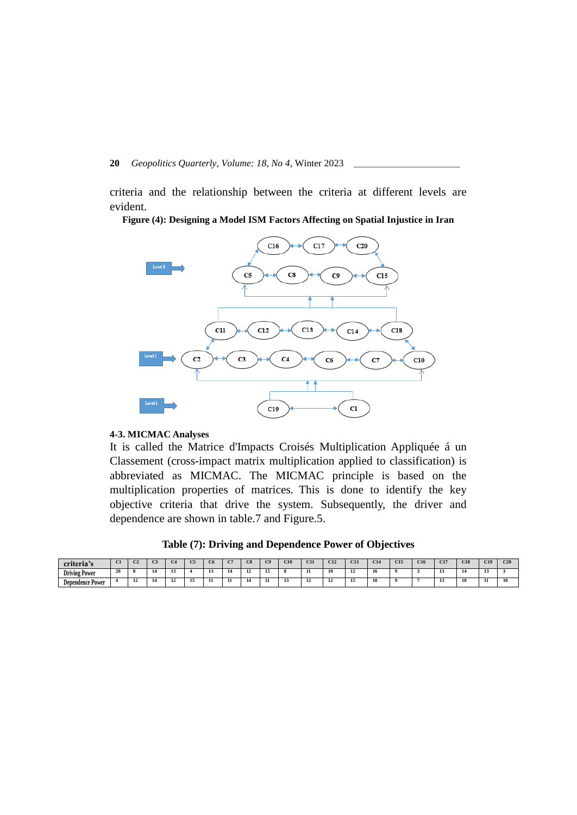criteria and the relationship between the criteria at different levels are evident.

**Figure (4): Designing a Model ISM Factors Affecting on Spatial Injustice in Iran**



#### **4-3. MICMAC Analyses**

It is called the Matrice d'Impacts Croisés Multiplication Appliquée á un Classement (cross-impact matrix multiplication applied to classification) is abbreviated as MICMAC. The MICMAC principle is based on the multiplication properties of matrices**.** This is done to identify the key objective criteria that drive the system. Subsequently, the driver and dependence are shown in table.7 and Figure.5.

**Table (7): Driving and Dependence Power of Objectives**

| $\bullet$ .<br>criteria's | $\sim$<br><b>STATES</b> | $\sim$ |     |            | $\sim$ | C.T. | en en<br>ೂ | C9 | C10 | C11                                   | C12 | C13 | C14<br>w | 63.5<br>UB. | C16 | C <sub>17</sub> | C18 | C19 | C20 |
|---------------------------|-------------------------|--------|-----|------------|--------|------|------------|----|-----|---------------------------------------|-----|-----|----------|-------------|-----|-----------------|-----|-----|-----|
| <b>Driving Power</b>      | 20                      |        |     | -11<br>-15 |        |      | <br>-14    |    |     | $\mathbf{H}$                          | 10  |     | 16       |             |     | --              | 14  |     |     |
| Dependence Power          |                         | -      | -45 | 12         | <br>   |      | -14        |    | --  | $\mathbf{1}^{\prime}$<br>$\mathbf{1}$ | 12  | 12  | 10       |             |     | -               | 10  | л.  | 10  |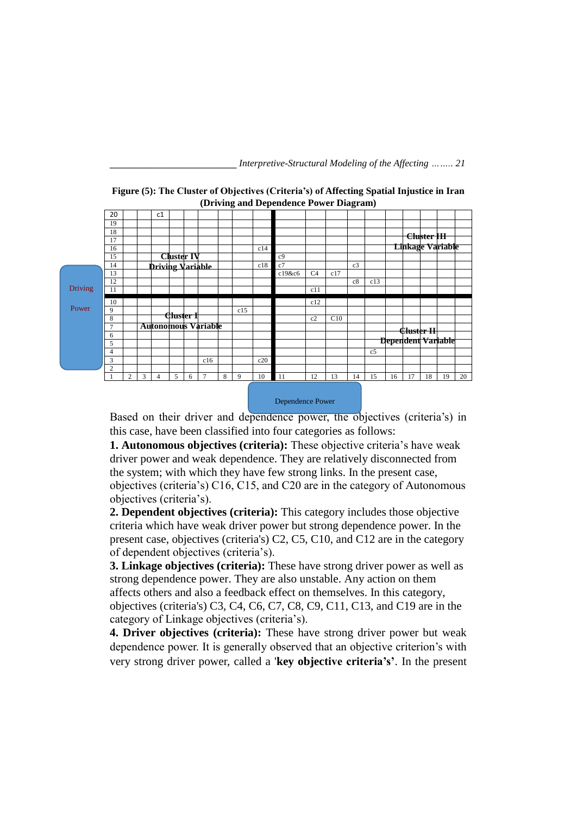| 20 |    |   | c1 |   |   |                |                                                           |                            |     |                |                |     |    |                |                                        |  |                                                                       |                                                                                |
|----|----|---|----|---|---|----------------|-----------------------------------------------------------|----------------------------|-----|----------------|----------------|-----|----|----------------|----------------------------------------|--|-----------------------------------------------------------------------|--------------------------------------------------------------------------------|
| 19 |    |   |    |   |   |                |                                                           |                            |     |                |                |     |    |                |                                        |  |                                                                       |                                                                                |
| 18 |    |   |    |   |   |                |                                                           |                            |     |                |                |     |    |                |                                        |  |                                                                       |                                                                                |
| 17 |    |   |    |   |   |                |                                                           |                            |     |                |                |     |    |                |                                        |  |                                                                       |                                                                                |
| 16 |    |   |    |   |   |                |                                                           |                            | c14 |                |                |     |    |                |                                        |  |                                                                       |                                                                                |
| 15 |    |   |    |   |   |                |                                                           |                            |     | c <sub>9</sub> |                |     |    |                |                                        |  |                                                                       |                                                                                |
| 14 |    |   |    |   |   |                |                                                           |                            | c18 | c7             |                |     | c3 |                |                                        |  |                                                                       |                                                                                |
| 13 |    |   |    |   |   |                |                                                           |                            |     | c19&c6         | C <sub>4</sub> | c17 |    |                |                                        |  |                                                                       |                                                                                |
| 12 |    |   |    |   |   |                |                                                           |                            |     |                |                |     | c8 | c13            |                                        |  |                                                                       |                                                                                |
| 11 |    |   |    |   |   |                |                                                           |                            |     |                | c11            |     |    |                |                                        |  |                                                                       |                                                                                |
|    |    |   |    |   |   |                |                                                           |                            |     |                |                |     |    |                |                                        |  |                                                                       |                                                                                |
| 9  |    |   |    |   |   |                |                                                           | c15                        |     |                |                |     |    |                |                                        |  |                                                                       |                                                                                |
| 8  |    |   |    |   |   |                |                                                           |                            |     |                | c2             | C10 |    |                |                                        |  |                                                                       |                                                                                |
| 7  |    |   |    |   |   |                |                                                           |                            |     |                |                |     |    |                |                                        |  |                                                                       |                                                                                |
| 6  |    |   |    |   |   |                |                                                           |                            |     |                |                |     |    |                |                                        |  |                                                                       |                                                                                |
| 5  |    |   |    |   |   |                |                                                           |                            |     |                |                |     |    |                |                                        |  |                                                                       |                                                                                |
| 4  |    |   |    |   |   |                |                                                           |                            |     |                |                |     |    | c <sub>5</sub> |                                        |  |                                                                       |                                                                                |
| 3  |    |   |    |   |   | c16            |                                                           |                            | c20 |                |                |     |    |                |                                        |  |                                                                       |                                                                                |
| 2  |    |   |    |   |   |                |                                                           |                            |     |                |                |     |    |                |                                        |  |                                                                       |                                                                                |
|    | 2  | 3 | 4  | 5 | 6 | $\overline{7}$ | 8                                                         | 9                          | 10  |                |                |     |    |                |                                        |  | 19                                                                    | 20                                                                             |
|    | 10 |   |    |   |   |                | <b>Cluster IV</b><br><b>Driving Variable</b><br>Cluster 1 | <b>Autonomous Variable</b> |     |                |                | c12 |    |                | (Driving and Dependence Power Diagram) |  | <del>Cluster II</del><br>13<br>17<br>11<br>12<br>15<br>18<br>14<br>16 | <del>Cluster III</del><br><b>Linkage Variable</b><br><b>Dependent Variable</b> |

Dri

 $P<sub>C</sub>$ 

| Figure (5): The Cluster of Objectives (Criteria's) of Affecting Spatial Injustice in Iran |
|-------------------------------------------------------------------------------------------|
| (Driving and Dependence Power Diagram)                                                    |

Dependence Power

Based on their driver and dependence power, the objectives (criteria's) in this case, have been classified into four categories as follows:

**1. Autonomous objectives (criteria):** These objective criteria's have weak driver power and weak dependence. They are relatively disconnected from the system; with which they have few strong links. In the present case, objectives (criteria's) C16, C15, and C20 are in the category of Autonomous objectives (criteria's).

**2. Dependent objectives (criteria):** This category includes those objective criteria which have weak driver power but strong dependence power. In the present case, objectives (criteria's) C2, C5, C10, and C12 are in the category of dependent objectives (criteria's).

**3. Linkage objectives (criteria):** These have strong driver power as well as strong dependence power. They are also unstable. Any action on them affects others and also a feedback effect on themselves. In this category, objectives (criteria's) C3, C4, C6, C7, C8, C9, C11, C13, and C19 are in the category of Linkage objectives (criteria's).

**4. Driver objectives (criteria):** These have strong driver power but weak dependence power. It is generally observed that an objective criterion's with very strong driver power, called a '**key objective criteria's'**. In the present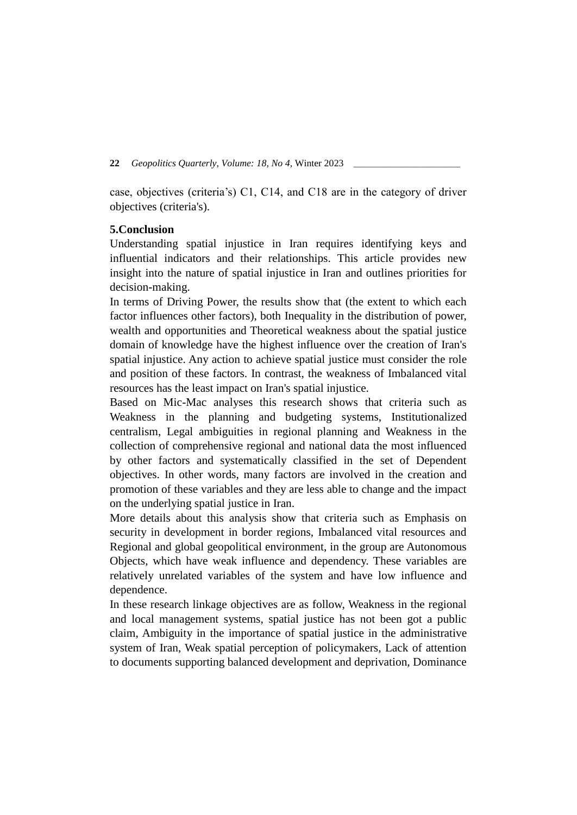case, objectives (criteria's) C1, C14, and C18 are in the category of driver objectives (criteria's).

# **5.Conclusion**

Understanding spatial injustice in Iran requires identifying keys and influential indicators and their relationships. This article provides new insight into the nature of spatial injustice in Iran and outlines priorities for decision-making.

In terms of Driving Power, the results show that (the extent to which each factor influences other factors), both Inequality in the distribution of power, wealth and opportunities and Theoretical weakness about the spatial justice domain of knowledge have the highest influence over the creation of Iran's spatial injustice. Any action to achieve spatial justice must consider the role and position of these factors. In contrast, the weakness of Imbalanced vital resources has the least impact on Iran's spatial injustice.

Based on Mic-Mac analyses this research shows that criteria such as Weakness in the planning and budgeting systems, Institutionalized centralism, Legal ambiguities in regional planning and Weakness in the collection of comprehensive regional and national data the most influenced by other factors and systematically classified in the set of Dependent objectives. In other words, many factors are involved in the creation and promotion of these variables and they are less able to change and the impact on the underlying spatial justice in Iran.

More details about this analysis show that criteria such as Emphasis on security in development in border regions, Imbalanced vital resources and Regional and global geopolitical environment, in the group are Autonomous Objects, which have weak influence and dependency. These variables are relatively unrelated variables of the system and have low influence and dependence.

In these research linkage objectives are as follow, Weakness in the regional and local management systems, spatial justice has not been got a public claim, Ambiguity in the importance of spatial justice in the administrative system of Iran, Weak spatial perception of policymakers, Lack of attention to documents supporting balanced development and deprivation, Dominance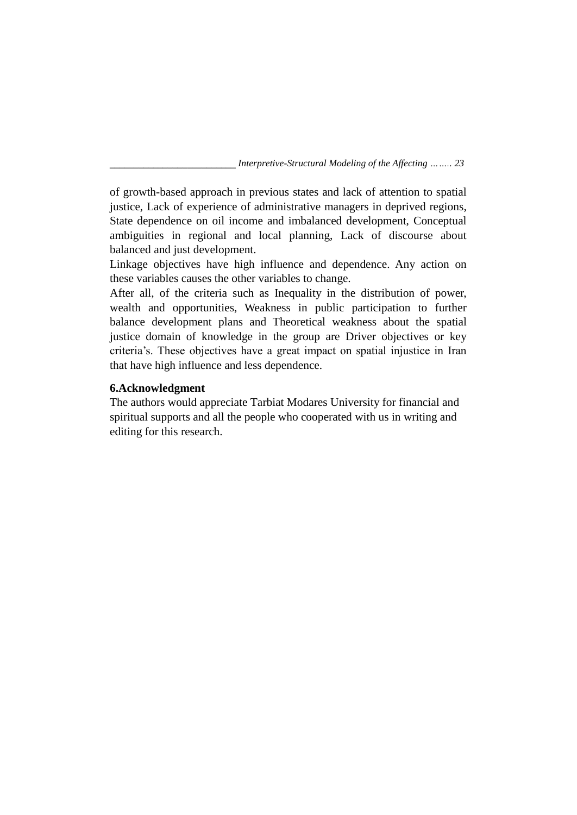of growth-based approach in previous states and lack of attention to spatial justice, Lack of experience of administrative managers in deprived regions, State dependence on oil income and imbalanced development, Conceptual ambiguities in regional and local planning, Lack of discourse about balanced and just development.

Linkage objectives have high influence and dependence. Any action on these variables causes the other variables to change.

After all, of the criteria such as Inequality in the distribution of power, wealth and opportunities, Weakness in public participation to further balance development plans and Theoretical weakness about the spatial justice domain of knowledge in the group are Driver objectives or key criteria's. These objectives have a great impact on spatial injustice in Iran that have high influence and less dependence.

# **6.Acknowledgment**

The authors would appreciate Tarbiat Modares University for financial and spiritual supports and all the people who cooperated with us in writing and editing for this research.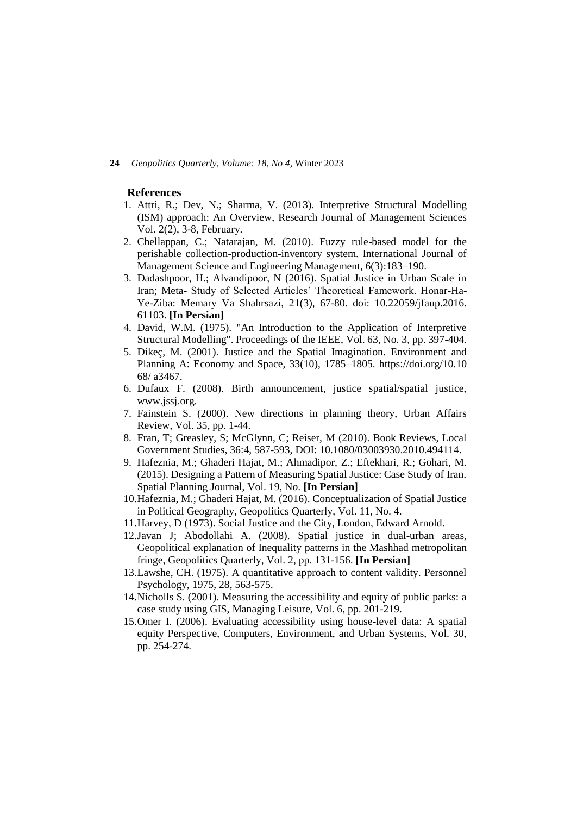#### **References**

- 1. Attri, R.; Dev, N.; Sharma, V. (2013). Interpretive Structural Modelling (ISM) approach: An Overview, Research Journal of Management Sciences Vol. 2(2), 3-8, February.
- 2. Chellappan, C.; Natarajan, M. (2010). Fuzzy rule-based model for the perishable collection-production-inventory system. International Journal of Management Science and Engineering Management, 6(3):183–190.
- 3. Dadashpoor, H.; Alvandipoor, N (2016). Spatial Justice in Urban Scale in Iran; Meta- Study of Selected Articles' Theoretical Famework. Honar-Ha-Ye-Ziba: Memary Va Shahrsazi, 21(3), 67-80. doi: 10.22059/jfaup.2016. 61103. **[In Persian]**
- 4. David, W.M. (1975). "An Introduction to the Application of Interpretive Structural Modelling". Proceedings of the IEEE, Vol. 63, No. 3, pp. 397-404.
- 5. Dikeç, M. (2001). Justice and the Spatial Imagination. Environment and Planning A: Economy and Space, 33(10), 1785–1805. [https://doi.org/10.](https://doi.org/10)10 68/ a3467.
- 6. Dufaux F. (2008). Birth announcement, justice spatial/spatial justice, www.jssj.org.
- 7. Fainstein S. (2000). New directions in planning theory, Urban Affairs Review, Vol. 35, pp. 1-44.
- 8. Fran, T; Greasley, S; McGlynn, C; Reiser, M (2010). Book Reviews, Local Government Studies, 36:4, 587-593, DOI: 10.1080/03003930.2010.494114.
- 9. Hafeznia, M.; Ghaderi Hajat, M.; Ahmadipor, Z.; Eftekhari, R.; Gohari, M. (2015). Designing a Pattern of Measuring Spatial Justice: Case Study of Iran. Spatial Planning Journal, Vol. 19, No. **[In Persian]**
- 10.Hafeznia, M.; Ghaderi Hajat, M. (2016). Conceptualization of Spatial Justice in Political Geography, Geopolitics Quarterly, Vol. 11, No. 4.
- 11.Harvey, D (1973). Social Justice and the City, London, Edward Arnold.
- 12.Javan J; Abodollahi A. (2008). Spatial justice in dual-urban areas, Geopolitical explanation of Inequality patterns in the Mashhad metropolitan fringe, Geopolitics Quarterly, Vol. 2, pp. 131-156. **[In Persian]**
- 13.Lawshe, CH. (1975). A quantitative approach to content validity. Personnel Psychology, 1975, 28, 563-575.
- 14.Nicholls S. (2001). Measuring the accessibility and equity of public parks: a case study using GIS, Managing Leisure, Vol. 6, pp. 201-219.
- 15.Omer I. (2006). Evaluating accessibility using house-level data: A spatial equity Perspective, Computers, Environment, and Urban Systems, Vol. 30, pp. 254-274.